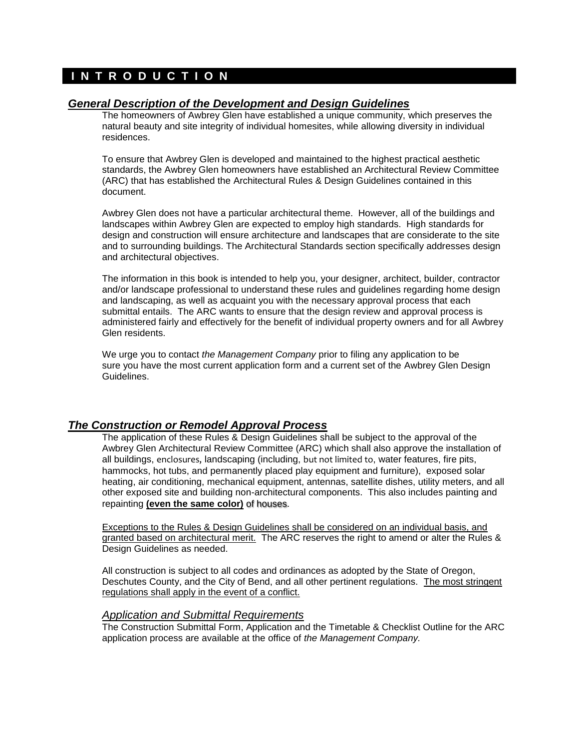# **I N T R O D U C T I O N**

## *General Description of the Development and Design Guidelines*

The homeowners of Awbrey Glen have established a unique community, which preserves the natural beauty and site integrity of individual homesites, while allowing diversity in individual residences.

To ensure that Awbrey Glen is developed and maintained to the highest practical aesthetic standards, the Awbrey Glen homeowners have established an Architectural Review Committee (ARC) that has established the Architectural Rules & Design Guidelines contained in this document.

Awbrey Glen does not have a particular architectural theme. However, all of the buildings and landscapes within Awbrey Glen are expected to employ high standards. High standards for design and construction will ensure architecture and landscapes that are considerate to the site and to surrounding buildings. The Architectural Standards section specifically addresses design and architectural objectives.

The information in this book is intended to help you, your designer, architect, builder, contractor and/or landscape professional to understand these rules and guidelines regarding home design and landscaping, as well as acquaint you with the necessary approval process that each submittal entails. The ARC wants to ensure that the design review and approval process is administered fairly and effectively for the benefit of individual property owners and for all Awbrey Glen residents.

We urge you to contact *the Management Company* prior to filing any application to be sure you have the most current application form and a current set of the Awbrey Glen Design Guidelines.

# *The Construction or Remodel Approval Process*

The application of these Rules & Design Guidelines shall be subject to the approval of the Awbrey Glen Architectural Review Committee (ARC) which shall also approve the installation of all buildings, enclosures, landscaping (including, but not limited to, water features, fire pits, hammocks, hot tubs, and permanently placed play equipment and furniture), exposed solar heating, air conditioning, mechanical equipment, antennas, satellite dishes, utility meters, and all other exposed site and building non-architectural components. This also includes painting and repainting **(even the same color)** of houses.

Exceptions to the Rules & Design Guidelines shall be considered on an individual basis, and granted based on architectural merit. The ARC reserves the right to amend or alter the Rules & Design Guidelines as needed.

All construction is subject to all codes and ordinances as adopted by the State of Oregon, Deschutes County, and the City of Bend, and all other pertinent regulations. The most stringent regulations shall apply in the event of a conflict.

## *Application and Submittal Requirements*

The Construction Submittal Form, Application and the Timetable & Checklist Outline for the ARC application process are available at the office of *the Management Company.*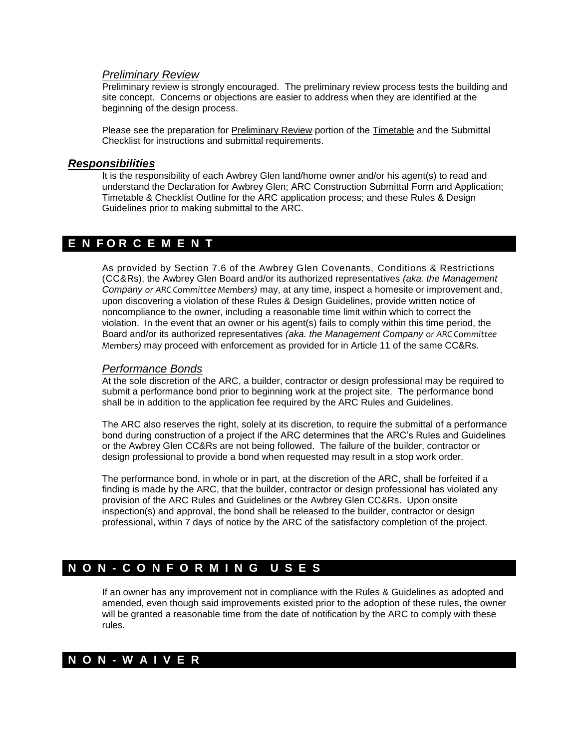### *Preliminary Review*

Preliminary review is strongly encouraged. The preliminary review process tests the building and site concept. Concerns or objections are easier to address when they are identified at the beginning of the design process.

Please see the preparation for Preliminary Review portion of the Timetable and the Submittal Checklist for instructions and submittal requirements.

#### *Responsibilities*

It is the responsibility of each Awbrey Glen land/home owner and/or his agent(s) to read and understand the Declaration for Awbrey Glen; ARC Construction Submittal Form and Application; Timetable & Checklist Outline for the ARC application process; and these Rules & Design Guidelines prior to making submittal to the ARC.

# **E N F O R C E M E N T**

As provided by Section 7.6 of the Awbrey Glen Covenants, Conditions & Restrictions (CC&Rs), the Awbrey Glen Board and/or its authorized representatives *(aka. the Management Company or ARC Committee Members)* may, at any time, inspect a homesite or improvement and, upon discovering a violation of these Rules & Design Guidelines, provide written notice of noncompliance to the owner, including a reasonable time limit within which to correct the violation. In the event that an owner or his agent(s) fails to comply within this time period, the Board and/or its authorized representatives *(aka. the Management Company or ARC Committee Members)* may proceed with enforcement as provided for in Article 11 of the same CC&Rs.

#### *Performance Bonds*

At the sole discretion of the ARC, a builder, contractor or design professional may be required to submit a performance bond prior to beginning work at the project site. The performance bond shall be in addition to the application fee required by the ARC Rules and Guidelines.

The ARC also reserves the right, solely at its discretion, to require the submittal of a performance bond during construction of a project if the ARC determines that the ARC's Rules and Guidelines or the Awbrey Glen CC&Rs are not being followed. The failure of the builder, contractor or design professional to provide a bond when requested may result in a stop work order.

The performance bond, in whole or in part, at the discretion of the ARC, shall be forfeited if a finding is made by the ARC, that the builder, contractor or design professional has violated any provision of the ARC Rules and Guidelines or the Awbrey Glen CC&Rs. Upon onsite inspection(s) and approval, the bond shall be released to the builder, contractor or design professional, within 7 days of notice by the ARC of the satisfactory completion of the project.

# **N O N - C O N F O R M I N G U S E S**

If an owner has any improvement not in compliance with the Rules & Guidelines as adopted and amended, even though said improvements existed prior to the adoption of these rules, the owner will be granted a reasonable time from the date of notification by the ARC to comply with these rules.

# **N O N - W A I V E R**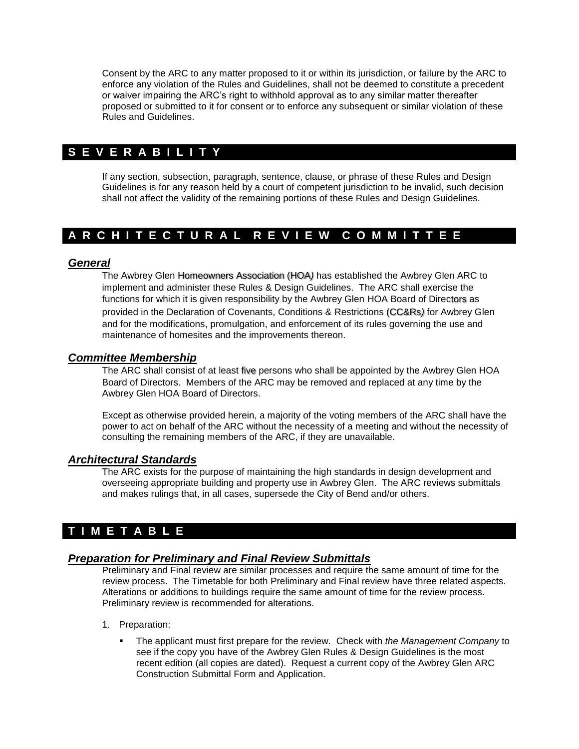Consent by the ARC to any matter proposed to it or within its jurisdiction, or failure by the ARC to enforce any violation of the Rules and Guidelines, shall not be deemed to constitute a precedent or waiver impairing the ARC's right to withhold approval as to any similar matter thereafter proposed or submitted to it for consent or to enforce any subsequent or similar violation of these Rules and Guidelines.

# **S E V E R A B I L I T Y**

If any section, subsection, paragraph, sentence, clause, or phrase of these Rules and Design Guidelines is for any reason held by a court of competent jurisdiction to be invalid, such decision shall not affect the validity of the remaining portions of these Rules and Design Guidelines.

# **A R C H I T E C T U R A L R E V I E W C O M M I T T E E**

## *General*

The Awbrey Glen Homeowners Association (HOA*)* has established the Awbrey Glen ARC to implement and administer these Rules & Design Guidelines. The ARC shall exercise the functions for which it is given responsibility by the Awbrey Glen HOA Board of Directors as provided in the Declaration of Covenants, Conditions & Restrictions (CC&Rs*)* for Awbrey Glen and for the modifications, promulgation, and enforcement of its rules governing the use and maintenance of homesites and the improvements thereon.

## *Committee Membership*

The ARC shall consist of at least five persons who shall be appointed by the Awbrey Glen HOA Board of Directors. Members of the ARC may be removed and replaced at any time by the Awbrey Glen HOA Board of Directors.

Except as otherwise provided herein, a majority of the voting members of the ARC shall have the power to act on behalf of the ARC without the necessity of a meeting and without the necessity of consulting the remaining members of the ARC, if they are unavailable.

## *Architectural Standards*

The ARC exists for the purpose of maintaining the high standards in design development and overseeing appropriate building and property use in Awbrey Glen. The ARC reviews submittals and makes rulings that, in all cases, supersede the City of Bend and/or others.

# **T I M E T A B L E**

# *Preparation for Preliminary and Final Review Submittals*

Preliminary and Final review are similar processes and require the same amount of time for the review process. The Timetable for both Preliminary and Final review have three related aspects. Alterations or additions to buildings require the same amount of time for the review process. Preliminary review is recommended for alterations.

- 1. Preparation:
	- The applicant must first prepare for the review. Check with *the Management Company* to see if the copy you have of the Awbrey Glen Rules & Design Guidelines is the most recent edition (all copies are dated). Request a current copy of the Awbrey Glen ARC Construction Submittal Form and Application.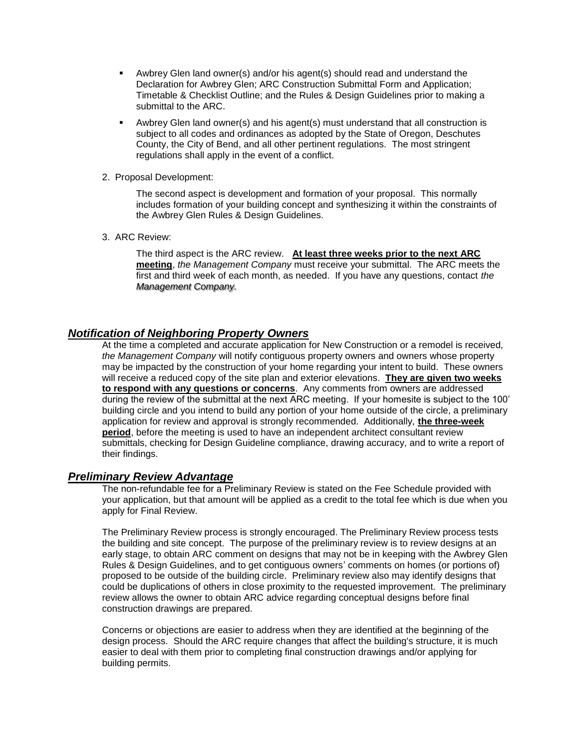- Awbrey Glen land owner(s) and/or his agent(s) should read and understand the Declaration for Awbrey Glen; ARC Construction Submittal Form and Application; Timetable & Checklist Outline; and the Rules & Design Guidelines prior to making a submittal to the ARC.
- Awbrey Glen land owner(s) and his agent(s) must understand that all construction is subject to all codes and ordinances as adopted by the State of Oregon, Deschutes County, the City of Bend, and all other pertinent regulations. The most stringent regulations shall apply in the event of a conflict.
- 2. Proposal Development:

The second aspect is development and formation of your proposal. This normally includes formation of your building concept and synthesizing it within the constraints of the Awbrey Glen Rules & Design Guidelines.

3. ARC Review:

The third aspect is the ARC review. **At least three weeks prior to the next ARC meeting**, *the Management Company* must receive your submittal. The ARC meets the first and third week of each month, as needed. If you have any questions, contact *the Management Company.*

## *Notification of Neighboring Property Owners*

At the time a completed and accurate application for New Construction or a remodel is received*, the Management Company* will notify contiguous property owners and owners whose property may be impacted by the construction of your home regarding your intent to build. These owners will receive a reduced copy of the site plan and exterior elevations. **They are given two weeks to respond with any questions or concerns**. Any comments from owners are addressed during the review of the submittal at the next ARC meeting. If your homesite is subject to the 100' building circle and you intend to build any portion of your home outside of the circle, a preliminary application for review and approval is strongly recommended. Additionally, **the three-week period**, before the meeting is used to have an independent architect consultant review submittals, checking for Design Guideline compliance, drawing accuracy, and to write a report of their findings.

## *Preliminary Review Advantage*

The non-refundable fee for a Preliminary Review is stated on the Fee Schedule provided with your application, but that amount will be applied as a credit to the total fee which is due when you apply for Final Review.

The Preliminary Review process is strongly encouraged. The Preliminary Review process tests the building and site concept. The purpose of the preliminary review is to review designs at an early stage, to obtain ARC comment on designs that may not be in keeping with the Awbrey Glen Rules & Design Guidelines, and to get contiguous owners' comments on homes (or portions of) proposed to be outside of the building circle. Preliminary review also may identify designs that could be duplications of others in close proximity to the requested improvement. The preliminary review allows the owner to obtain ARC advice regarding conceptual designs before final construction drawings are prepared.

Concerns or objections are easier to address when they are identified at the beginning of the design process. Should the ARC require changes that affect the building's structure, it is much easier to deal with them prior to completing final construction drawings and/or applying for building permits.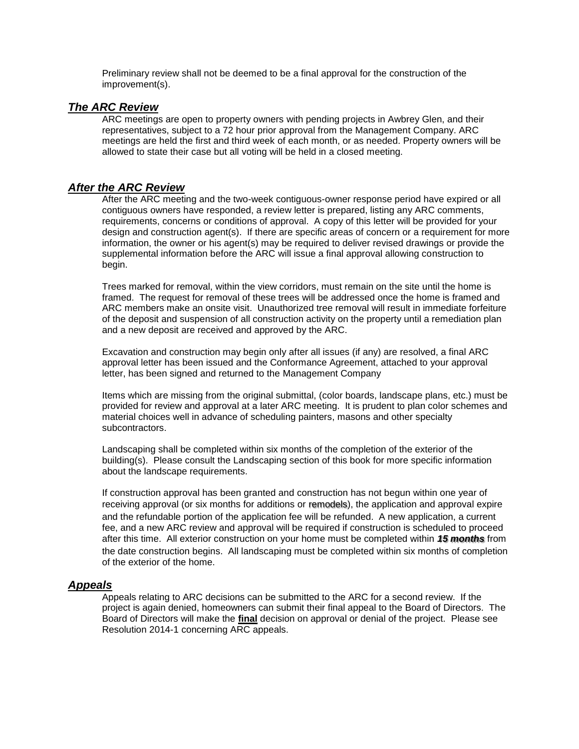Preliminary review shall not be deemed to be a final approval for the construction of the improvement(s).

## *The ARC Review*

ARC meetings are open to property owners with pending projects in Awbrey Glen, and their representatives, subject to a 72 hour prior approval from the Management Company. ARC meetings are held the first and third week of each month, or as needed. Property owners will be allowed to state their case but all voting will be held in a closed meeting.

## *After the ARC Review*

After the ARC meeting and the two-week contiguous-owner response period have expired or all contiguous owners have responded, a review letter is prepared, listing any ARC comments, requirements, concerns or conditions of approval. A copy of this letter will be provided for your design and construction agent(s). If there are specific areas of concern or a requirement for more information, the owner or his agent(s) may be required to deliver revised drawings or provide the supplemental information before the ARC will issue a final approval allowing construction to begin.

Trees marked for removal, within the view corridors, must remain on the site until the home is framed. The request for removal of these trees will be addressed once the home is framed and ARC members make an onsite visit. Unauthorized tree removal will result in immediate forfeiture of the deposit and suspension of all construction activity on the property until a remediation plan and a new deposit are received and approved by the ARC.

Excavation and construction may begin only after all issues (if any) are resolved, a final ARC approval letter has been issued and the Conformance Agreement, attached to your approval letter, has been signed and returned to the Management Company

Items which are missing from the original submittal, (color boards, landscape plans, etc.) must be provided for review and approval at a later ARC meeting. It is prudent to plan color schemes and material choices well in advance of scheduling painters, masons and other specialty subcontractors.

Landscaping shall be completed within six months of the completion of the exterior of the building(s). Please consult the Landscaping section of this book for more specific information about the landscape requirements.

If construction approval has been granted and construction has not begun within one year of receiving approval (or six months for additions or remodels), the application and approval expire and the refundable portion of the application fee will be refunded. A new application, a current fee, and a new ARC review and approval will be required if construction is scheduled to proceed after this time. All exterior construction on your home must be completed within *15 months* from the date construction begins. All landscaping must be completed within six months of completion of the exterior of the home.

## *Appeals*

Appeals relating to ARC decisions can be submitted to the ARC for a second review. If the project is again denied, homeowners can submit their final appeal to the Board of Directors. The Board of Directors will make the **final** decision on approval or denial of the project. Please see Resolution 2014-1 concerning ARC appeals.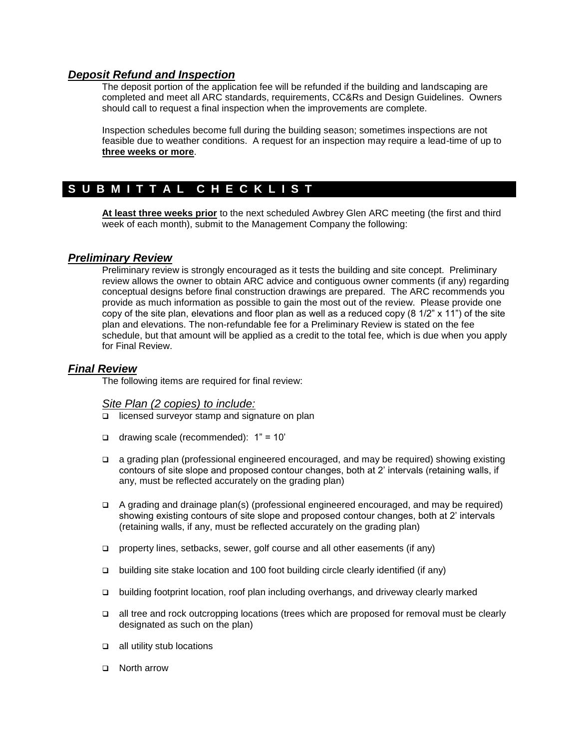## *Deposit Refund and Inspection*

The deposit portion of the application fee will be refunded if the building and landscaping are completed and meet all ARC standards, requirements, CC&Rs and Design Guidelines. Owners should call to request a final inspection when the improvements are complete.

Inspection schedules become full during the building season; sometimes inspections are not feasible due to weather conditions. A request for an inspection may require a lead-time of up to **three weeks or more**.

# S U B M I T T A L C H E C K L I S T

**At least three weeks prior** to the next scheduled Awbrey Glen ARC meeting (the first and third week of each month), submit to the Management Company the following:

# *Preliminary Review*

Preliminary review is strongly encouraged as it tests the building and site concept. Preliminary review allows the owner to obtain ARC advice and contiguous owner comments (if any) regarding conceptual designs before final construction drawings are prepared. The ARC recommends you provide as much information as possible to gain the most out of the review. Please provide one copy of the site plan, elevations and floor plan as well as a reduced copy  $(8 \frac{1}{2} \times 11)$  of the site plan and elevations. The non-refundable fee for a Preliminary Review is stated on the fee schedule, but that amount will be applied as a credit to the total fee, which is due when you apply for Final Review.

## *Final Review*

The following items are required for final review:

## *Site Plan (2 copies) to include:*

- $\Box$  licensed surveyor stamp and signature on plan
- $\Box$  drawing scale (recommended):  $1" = 10'$
- a grading plan (professional engineered encouraged, and may be required) showing existing contours of site slope and proposed contour changes, both at 2' intervals (retaining walls, if any, must be reflected accurately on the grading plan)
- A grading and drainage plan(s) (professional engineered encouraged, and may be required) showing existing contours of site slope and proposed contour changes, both at 2' intervals (retaining walls, if any, must be reflected accurately on the grading plan)
- property lines, setbacks, sewer, golf course and all other easements (if any)
- building site stake location and 100 foot building circle clearly identified (if any)
- building footprint location, roof plan including overhangs, and driveway clearly marked
- all tree and rock outcropping locations (trees which are proposed for removal must be clearly designated as such on the plan)
- $\Box$  all utility stub locations
- □ North arrow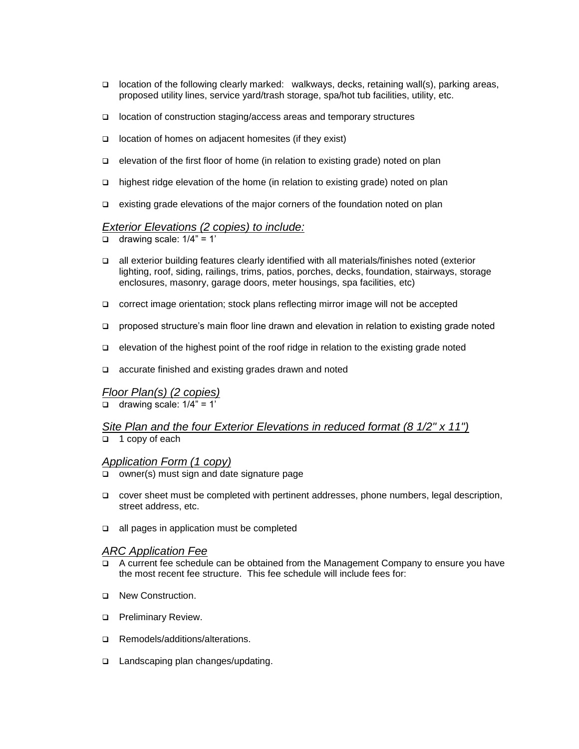- $\Box$  location of the following clearly marked: walkways, decks, retaining wall(s), parking areas, proposed utility lines, service yard/trash storage, spa/hot tub facilities, utility, etc.
- location of construction staging/access areas and temporary structures
- $\Box$  location of homes on adjacent homesites (if they exist)
- □ elevation of the first floor of home (in relation to existing grade) noted on plan
- □ highest ridge elevation of the home (in relation to existing grade) noted on plan
- $\Box$  existing grade elevations of the major corners of the foundation noted on plan

# *Exterior Elevations (2 copies) to include:*

- $\Box$  drawing scale:  $1/4$ " = 1'
- all exterior building features clearly identified with all materials/finishes noted (exterior lighting, roof, siding, railings, trims, patios, porches, decks, foundation, stairways, storage enclosures, masonry, garage doors, meter housings, spa facilities, etc)
- correct image orientation; stock plans reflecting mirror image will not be accepted
- proposed structure's main floor line drawn and elevation in relation to existing grade noted
- $\Box$  elevation of the highest point of the roof ridge in relation to the existing grade noted
- □ accurate finished and existing grades drawn and noted

#### *Floor Plan(s) (2 copies)*

 $\Box$  drawing scale:  $1/4" = 1'$ 

# *Site Plan and the four Exterior Elevations in reduced format (8 1/2" x 11")*

 $\Box$  1 copy of each

#### *Application Form (1 copy)*

- $\Box$  owner(s) must sign and date signature page
- cover sheet must be completed with pertinent addresses, phone numbers, legal description, street address, etc.
- $\Box$  all pages in application must be completed

#### *ARC Application Fee*

- $\Box$  A current fee schedule can be obtained from the Management Company to ensure you have the most recent fee structure. This fee schedule will include fees for:
- D. New Construction.
- **D** Preliminary Review.
- □ Remodels/additions/alterations.
- □ Landscaping plan changes/updating.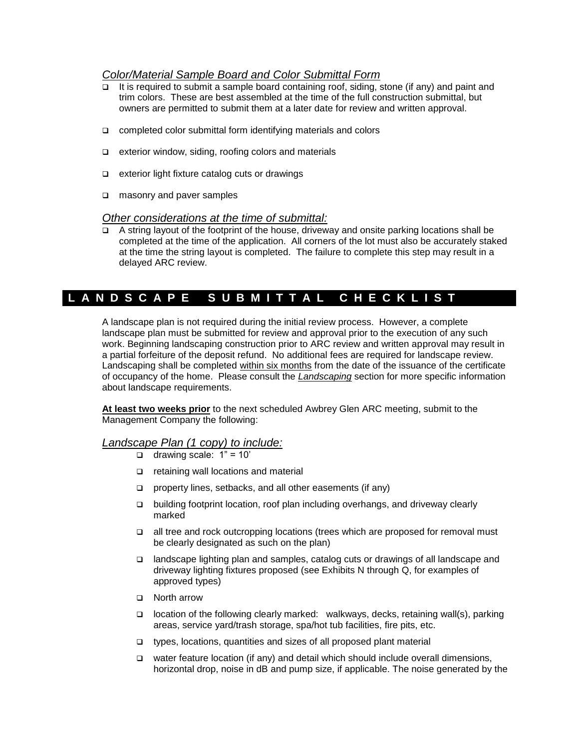## *Color/Material Sample Board and Color Submittal Form*

- It is required to submit a sample board containing roof, siding, stone (if any) and paint and trim colors. These are best assembled at the time of the full construction submittal, but owners are permitted to submit them at a later date for review and written approval.
- $\Box$  completed color submittal form identifying materials and colors
- $\Box$  exterior window, siding, roofing colors and materials
- $\Box$  exterior light fixture catalog cuts or drawings
- masonry and paver samples

## *Other considerations at the time of submittal:*

A string layout of the footprint of the house, driveway and onsite parking locations shall be completed at the time of the application. All corners of the lot must also be accurately staked at the time the string layout is completed. The failure to complete this step may result in a delayed ARC review.

# L A N D S C A P E S U B M I T T A L C H E C K L I S T

A landscape plan is not required during the initial review process. However, a complete landscape plan must be submitted for review and approval prior to the execution of any such work. Beginning landscaping construction prior to ARC review and written approval may result in a partial forfeiture of the deposit refund. No additional fees are required for landscape review. Landscaping shall be completed within six months from the date of the issuance of the certificate of occupancy of the home. Please consult the *Landscaping* section for more specific information about landscape requirements.

**At least two weeks prior** to the next scheduled Awbrey Glen ARC meeting, submit to the Management Company the following:

# *Landscape Plan (1 copy) to include:*

- $\Box$  drawing scale: 1" = 10"
- $\Box$  retaining wall locations and material
- $\Box$  property lines, setbacks, and all other easements (if any)
- building footprint location, roof plan including overhangs, and driveway clearly marked
- all tree and rock outcropping locations (trees which are proposed for removal must be clearly designated as such on the plan)
- landscape lighting plan and samples, catalog cuts or drawings of all landscape and driveway lighting fixtures proposed (see Exhibits N through Q, for examples of approved types)
- □ North arrow
- $\Box$  location of the following clearly marked: walkways, decks, retaining wall(s), parking areas, service yard/trash storage, spa/hot tub facilities, fire pits, etc.
- types, locations, quantities and sizes of all proposed plant material
- $\Box$  water feature location (if any) and detail which should include overall dimensions, horizontal drop, noise in dB and pump size, if applicable. The noise generated by the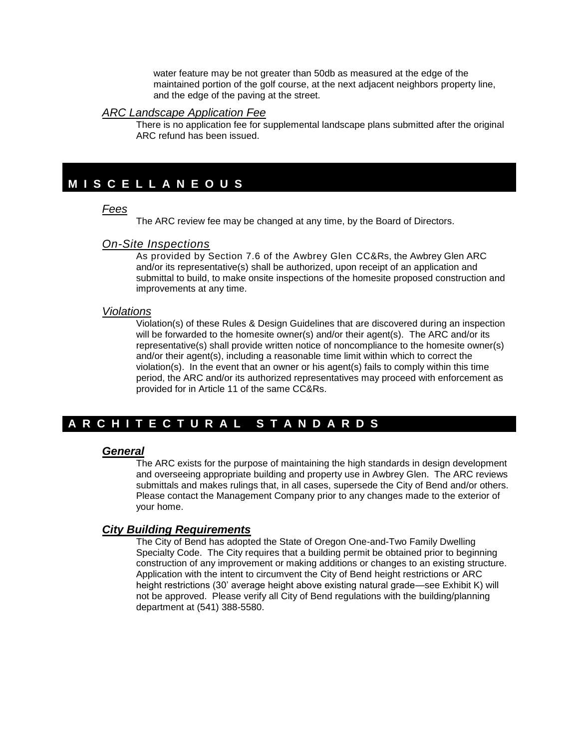water feature may be not greater than 50db as measured at the edge of the maintained portion of the golf course, at the next adjacent neighbors property line, and the edge of the paving at the street.

#### *ARC Landscape Application Fee*

There is no application fee for supplemental landscape plans submitted after the original ARC refund has been issued.

# **M I S C E L L A N E O U S**

### *Fees*

The ARC review fee may be changed at any time, by the Board of Directors.

#### *On-Site Inspections*

As provided by Section 7.6 of the Awbrey Glen CC&Rs, the Awbrey Glen ARC and/or its representative(s) shall be authorized, upon receipt of an application and submittal to build, to make onsite inspections of the homesite proposed construction and improvements at any time.

#### *Violations*

Violation(s) of these Rules & Design Guidelines that are discovered during an inspection will be forwarded to the homesite owner(s) and/or their agent(s). The ARC and/or its representative(s) shall provide written notice of noncompliance to the homesite owner(s) and/or their agent(s), including a reasonable time limit within which to correct the violation(s). In the event that an owner or his agent(s) fails to comply within this time period, the ARC and/or its authorized representatives may proceed with enforcement as provided for in Article 11 of the same CC&Rs.

# **A R C H I T E C T U R A L S T A N D A R D S**

## *General*

The ARC exists for the purpose of maintaining the high standards in design development and overseeing appropriate building and property use in Awbrey Glen. The ARC reviews submittals and makes rulings that, in all cases, supersede the City of Bend and/or others. Please contact the Management Company prior to any changes made to the exterior of your home.

## *City Building Requirements*

The City of Bend has adopted the State of Oregon One-and-Two Family Dwelling Specialty Code. The City requires that a building permit be obtained prior to beginning construction of any improvement or making additions or changes to an existing structure. Application with the intent to circumvent the City of Bend height restrictions or ARC height restrictions (30' average height above existing natural grade—see Exhibit K) will not be approved. Please verify all City of Bend regulations with the building/planning department at (541) 388-5580.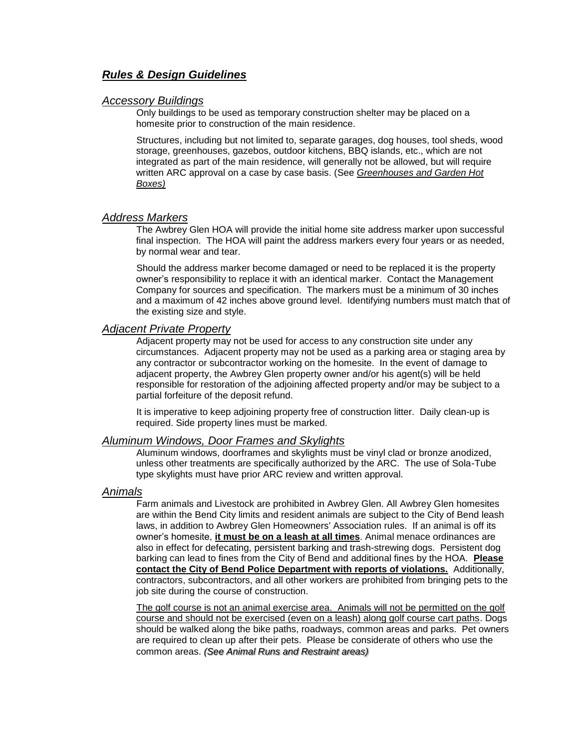## *Rules & Design Guidelines*

#### *Accessory Buildings*

Only buildings to be used as temporary construction shelter may be placed on a homesite prior to construction of the main residence.

Structures, including but not limited to, separate garages, dog houses, tool sheds, wood storage, greenhouses, gazebos, outdoor kitchens, BBQ islands, etc., which are not integrated as part of the main residence, will generally not be allowed, but will require written ARC approval on a case by case basis. (See *Greenhouses and Garden Hot Boxes)*

#### *Address Markers*

The Awbrey Glen HOA will provide the initial home site address marker upon successful final inspection. The HOA will paint the address markers every four years or as needed, by normal wear and tear.

Should the address marker become damaged or need to be replaced it is the property owner's responsibility to replace it with an identical marker. Contact the Management Company for sources and specification. The markers must be a minimum of 30 inches and a maximum of 42 inches above ground level. Identifying numbers must match that of the existing size and style.

#### *Adjacent Private Property*

Adjacent property may not be used for access to any construction site under any circumstances. Adjacent property may not be used as a parking area or staging area by any contractor or subcontractor working on the homesite. In the event of damage to adjacent property, the Awbrey Glen property owner and/or his agent(s) will be held responsible for restoration of the adjoining affected property and/or may be subject to a partial forfeiture of the deposit refund.

It is imperative to keep adjoining property free of construction litter. Daily clean-up is required. Side property lines must be marked.

#### *Aluminum Windows, Door Frames and Skylights*

Aluminum windows, doorframes and skylights must be vinyl clad or bronze anodized, unless other treatments are specifically authorized by the ARC. The use of Sola-Tube type skylights must have prior ARC review and written approval.

#### *Animals*

Farm animals and Livestock are prohibited in Awbrey Glen. All Awbrey Glen homesites are within the Bend City limits and resident animals are subject to the City of Bend leash laws, in addition to Awbrey Glen Homeowners' Association rules. If an animal is off its owner's homesite, **it must be on a leash at all times**. Animal menace ordinances are also in effect for defecating, persistent barking and trash-strewing dogs. Persistent dog barking can lead to fines from the City of Bend and additional fines by the HOA. **Please contact the City of Bend Police Department with reports of violations.** Additionally, contractors, subcontractors, and all other workers are prohibited from bringing pets to the job site during the course of construction.

The golf course is not an animal exercise area. Animals will not be permitted on the golf course and should not be exercised (even on a leash) along golf course cart paths. Dogs should be walked along the bike paths, roadways, common areas and parks. Pet owners are required to clean up after their pets. Please be considerate of others who use the common areas. *(See Animal Runs and Restraint areas)*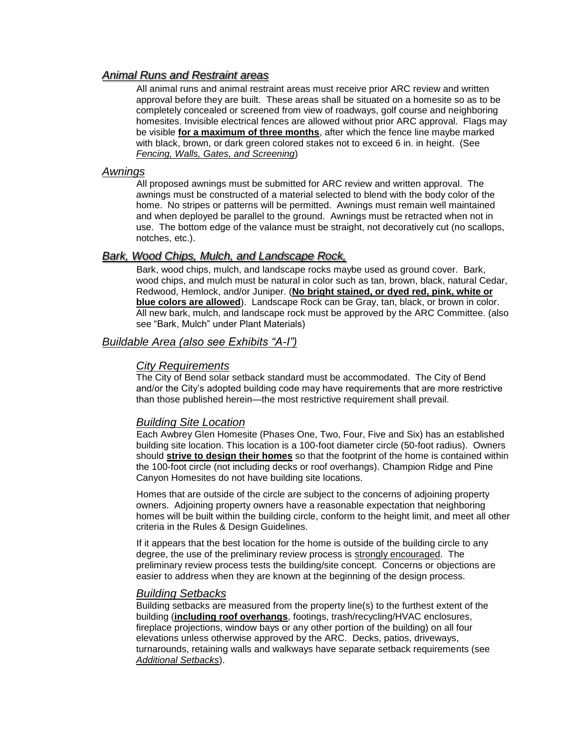## *Animal Runs and Restraint areas*

All animal runs and animal restraint areas must receive prior ARC review and written approval before they are built. These areas shall be situated on a homesite so as to be completely concealed or screened from view of roadways, golf course and neighboring homesites. Invisible electrical fences are allowed without prior ARC approval. Flags may be visible **for a maximum of three months**, after which the fence line maybe marked with black, brown, or dark green colored stakes not to exceed 6 in. in height. (See *Fencing, Walls, Gates, and Screening*)

### *Awnings*

All proposed awnings must be submitted for ARC review and written approval. The awnings must be constructed of a material selected to blend with the body color of the home. No stripes or patterns will be permitted. Awnings must remain well maintained and when deployed be parallel to the ground. Awnings must be retracted when not in use. The bottom edge of the valance must be straight, not decoratively cut (no scallops, notches, etc.).

## *Bark, Wood Chips, Mulch, and Landscape Rock,*

Bark, wood chips, mulch, and landscape rocks maybe used as ground cover. Bark, wood chips, and mulch must be natural in color such as tan, brown, black, natural Cedar, Redwood, Hemlock, and/or Juniper. (**No bright stained, or dyed red, pink, white or blue colors are allowed**). Landscape Rock can be Gray, tan, black, or brown in color. All new bark, mulch, and landscape rock must be approved by the ARC Committee. (also see "Bark, Mulch" under Plant Materials)

## *Buildable Area (also see Exhibits "A-I")*

#### *City Requirements*

The City of Bend solar setback standard must be accommodated. The City of Bend and/or the City's adopted building code may have requirements that are more restrictive than those published herein—the most restrictive requirement shall prevail.

## *Building Site Location*

Each Awbrey Glen Homesite (Phases One, Two, Four, Five and Six) has an established building site location. This location is a 100-foot diameter circle (50-foot radius). Owners should **strive to design their homes** so that the footprint of the home is contained within the 100-foot circle (not including decks or roof overhangs). Champion Ridge and Pine Canyon Homesites do not have building site locations.

Homes that are outside of the circle are subject to the concerns of adjoining property owners. Adjoining property owners have a reasonable expectation that neighboring homes will be built within the building circle, conform to the height limit, and meet all other criteria in the Rules & Design Guidelines.

If it appears that the best location for the home is outside of the building circle to any degree, the use of the preliminary review process is strongly encouraged. The preliminary review process tests the building/site concept. Concerns or objections are easier to address when they are known at the beginning of the design process.

#### *Building Setbacks*

Building setbacks are measured from the property line(s) to the furthest extent of the building (**including roof overhangs**, footings, trash/recycling/HVAC enclosures, fireplace projections, window bays or any other portion of the building) on all four elevations unless otherwise approved by the ARC. Decks, patios, driveways, turnarounds, retaining walls and walkways have separate setback requirements (see *Additional Setbacks*).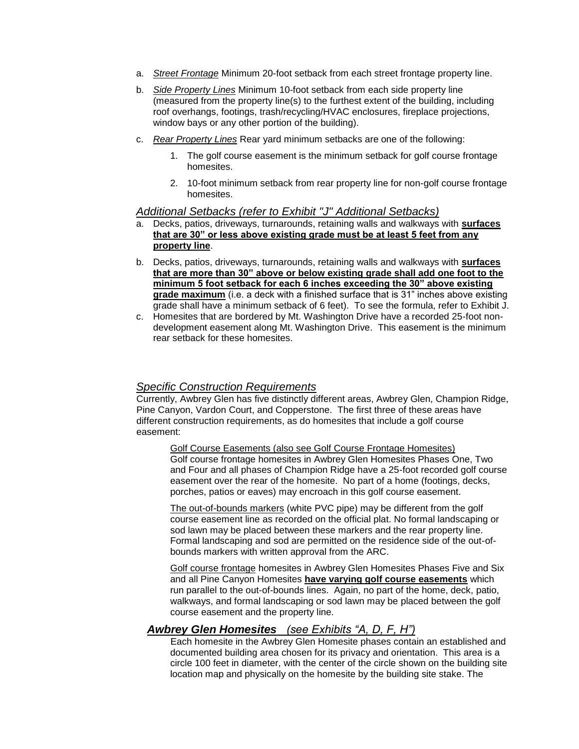- a. *Street Frontage* Minimum 20-foot setback from each street frontage property line.
- b. *Side Property Lines* Minimum 10-foot setback from each side property line (measured from the property line(s) to the furthest extent of the building, including roof overhangs, footings, trash/recycling/HVAC enclosures, fireplace projections, window bays or any other portion of the building).
- c. *Rear Property Lines* Rear yard minimum setbacks are one of the following:
	- 1. The golf course easement is the minimum setback for golf course frontage homesites.
	- 2. 10-foot minimum setback from rear property line for non-golf course frontage homesites.

#### *Additional Setbacks (refer to Exhibit "J" Additional Setbacks)*

- a. Decks, patios, driveways, turnarounds, retaining walls and walkways with **surfaces that are 30" or less above existing grade must be at least 5 feet from any property line**.
- b. Decks, patios, driveways, turnarounds, retaining walls and walkways with **surfaces that are more than 30" above or below existing grade shall add one foot to the minimum 5 foot setback for each 6 inches exceeding the 30" above existing grade maximum** (i.e. a deck with a finished surface that is 31" inches above existing grade shall have a minimum setback of 6 feet). To see the formula, refer to Exhibit J.
- c. Homesites that are bordered by Mt. Washington Drive have a recorded 25-foot nondevelopment easement along Mt. Washington Drive. This easement is the minimum rear setback for these homesites.

## *Specific Construction Requirements*

Currently, Awbrey Glen has five distinctly different areas, Awbrey Glen, Champion Ridge, Pine Canyon, Vardon Court, and Copperstone. The first three of these areas have different construction requirements, as do homesites that include a golf course easement:

Golf Course Easements (also see Golf Course Frontage Homesites) Golf course frontage homesites in Awbrey Glen Homesites Phases One, Two and Four and all phases of Champion Ridge have a 25-foot recorded golf course easement over the rear of the homesite. No part of a home (footings, decks, porches, patios or eaves) may encroach in this golf course easement.

The out-of-bounds markers (white PVC pipe) may be different from the golf course easement line as recorded on the official plat. No formal landscaping or sod lawn may be placed between these markers and the rear property line. Formal landscaping and sod are permitted on the residence side of the out-ofbounds markers with written approval from the ARC.

Golf course frontage homesites in Awbrey Glen Homesites Phases Five and Six and all Pine Canyon Homesites **have varying golf course easements** which run parallel to the out-of-bounds lines. Again, no part of the home, deck, patio, walkways, and formal landscaping or sod lawn may be placed between the golf course easement and the property line.

## *Awbrey Glen Homesites (see Exhibits "A, D, F, H")*

Each homesite in the Awbrey Glen Homesite phases contain an established and documented building area chosen for its privacy and orientation. This area is a circle 100 feet in diameter, with the center of the circle shown on the building site location map and physically on the homesite by the building site stake. The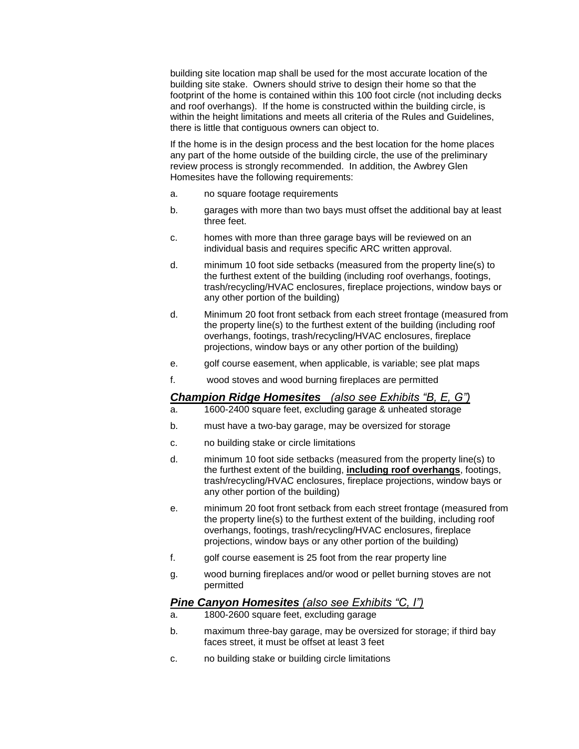building site location map shall be used for the most accurate location of the building site stake. Owners should strive to design their home so that the footprint of the home is contained within this 100 foot circle (not including decks and roof overhangs). If the home is constructed within the building circle, is within the height limitations and meets all criteria of the Rules and Guidelines, there is little that contiguous owners can object to.

If the home is in the design process and the best location for the home places any part of the home outside of the building circle, the use of the preliminary review process is strongly recommended. In addition, the Awbrey Glen Homesites have the following requirements:

- a. no square footage requirements
- b. garages with more than two bays must offset the additional bay at least three feet.
- c. homes with more than three garage bays will be reviewed on an individual basis and requires specific ARC written approval.
- d. minimum 10 foot side setbacks (measured from the property line(s) to the furthest extent of the building (including roof overhangs, footings, trash/recycling/HVAC enclosures, fireplace projections, window bays or any other portion of the building)
- d. Minimum 20 foot front setback from each street frontage (measured from the property line(s) to the furthest extent of the building (including roof overhangs, footings, trash/recycling/HVAC enclosures, fireplace projections, window bays or any other portion of the building)
- e. golf course easement, when applicable, is variable; see plat maps
- f. wood stoves and wood burning fireplaces are permitted

## *Champion Ridge Homesites (also see Exhibits "B, E, G")*

- a. 1600-2400 square feet, excluding garage & unheated storage
- b. must have a two-bay garage, may be oversized for storage
- c. no building stake or circle limitations
- d. minimum 10 foot side setbacks (measured from the property line(s) to the furthest extent of the building, **including roof overhangs**, footings, trash/recycling/HVAC enclosures, fireplace projections, window bays or any other portion of the building)
- e. minimum 20 foot front setback from each street frontage (measured from the property line(s) to the furthest extent of the building, including roof overhangs, footings, trash/recycling/HVAC enclosures, fireplace projections, window bays or any other portion of the building)
- f. golf course easement is 25 foot from the rear property line
- g. wood burning fireplaces and/or wood or pellet burning stoves are not permitted

## *Pine Canyon Homesites (also see Exhibits "C, I")*

- a. 1800-2600 square feet, excluding garage
- b. maximum three-bay garage, may be oversized for storage; if third bay faces street, it must be offset at least 3 feet
- c. no building stake or building circle limitations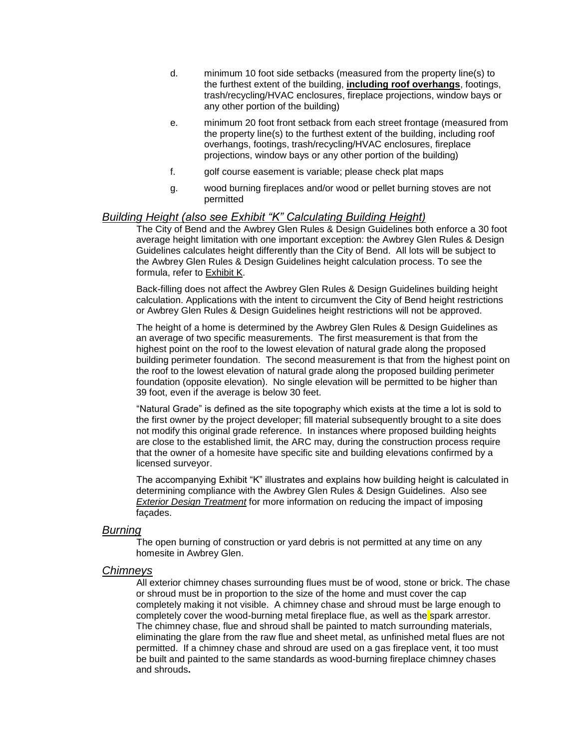- d. minimum 10 foot side setbacks (measured from the property line(s) to the furthest extent of the building, **including roof overhangs**, footings, trash/recycling/HVAC enclosures, fireplace projections, window bays or any other portion of the building)
- e. minimum 20 foot front setback from each street frontage (measured from the property line(s) to the furthest extent of the building, including roof overhangs, footings, trash/recycling/HVAC enclosures, fireplace projections, window bays or any other portion of the building)
- f. golf course easement is variable; please check plat maps
- g. wood burning fireplaces and/or wood or pellet burning stoves are not permitted

### *Building Height (also see Exhibit "K" Calculating Building Height)*

The City of Bend and the Awbrey Glen Rules & Design Guidelines both enforce a 30 foot average height limitation with one important exception: the Awbrey Glen Rules & Design Guidelines calculates height differently than the City of Bend. All lots will be subject to the Awbrey Glen Rules & Design Guidelines height calculation process. To see the formula, refer to Exhibit K.

Back-filling does not affect the Awbrey Glen Rules & Design Guidelines building height calculation. Applications with the intent to circumvent the City of Bend height restrictions or Awbrey Glen Rules & Design Guidelines height restrictions will not be approved.

The height of a home is determined by the Awbrey Glen Rules & Design Guidelines as an average of two specific measurements. The first measurement is that from the highest point on the roof to the lowest elevation of natural grade along the proposed building perimeter foundation. The second measurement is that from the highest point on the roof to the lowest elevation of natural grade along the proposed building perimeter foundation (opposite elevation). No single elevation will be permitted to be higher than 39 foot, even if the average is below 30 feet.

"Natural Grade" is defined as the site topography which exists at the time a lot is sold to the first owner by the project developer; fill material subsequently brought to a site does not modify this original grade reference. In instances where proposed building heights are close to the established limit, the ARC may, during the construction process require that the owner of a homesite have specific site and building elevations confirmed by a licensed surveyor.

The accompanying Exhibit "K" illustrates and explains how building height is calculated in determining compliance with the Awbrey Glen Rules & Design Guidelines. Also see *Exterior Design Treatment* for more information on reducing the impact of imposing façades.

#### *Burning*

The open burning of construction or yard debris is not permitted at any time on any homesite in Awbrey Glen.

#### *Chimneys*

All exterior chimney chases surrounding flues must be of wood, stone or brick. The chase or shroud must be in proportion to the size of the home and must cover the cap completely making it not visible. A chimney chase and shroud must be large enough to completely cover the wood-burning metal fireplace flue, as well as the spark arrestor. The chimney chase, flue and shroud shall be painted to match surrounding materials, eliminating the glare from the raw flue and sheet metal, as unfinished metal flues are not permitted. If a chimney chase and shroud are used on a gas fireplace vent, it too must be built and painted to the same standards as wood-burning fireplace chimney chases and shrouds**.**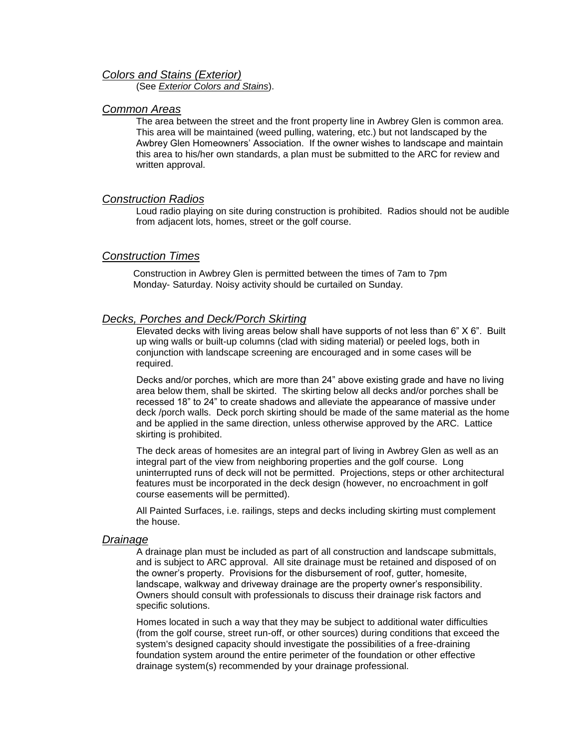#### *Colors and Stains (Exterior)*

(See *Exterior Colors and Stains*).

### *Common Areas*

The area between the street and the front property line in Awbrey Glen is common area. This area will be maintained (weed pulling, watering, etc.) but not landscaped by the Awbrey Glen Homeowners' Association. If the owner wishes to landscape and maintain this area to his/her own standards, a plan must be submitted to the ARC for review and written approval.

#### *Construction Radios*

Loud radio playing on site during construction is prohibited. Radios should not be audible from adjacent lots, homes, street or the golf course.

## *Construction Times*

Construction in Awbrey Glen is permitted between the times of 7am to 7pm Monday- Saturday. Noisy activity should be curtailed on Sunday.

#### *Decks, Porches and Deck/Porch Skirting*

Elevated decks with living areas below shall have supports of not less than 6" X 6". Built up wing walls or built-up columns (clad with siding material) or peeled logs, both in conjunction with landscape screening are encouraged and in some cases will be required.

Decks and/or porches, which are more than 24" above existing grade and have no living area below them, shall be skirted. The skirting below all decks and/or porches shall be recessed 18" to 24" to create shadows and alleviate the appearance of massive under deck /porch walls. Deck porch skirting should be made of the same material as the home and be applied in the same direction, unless otherwise approved by the ARC. Lattice skirting is prohibited.

The deck areas of homesites are an integral part of living in Awbrey Glen as well as an integral part of the view from neighboring properties and the golf course. Long uninterrupted runs of deck will not be permitted. Projections, steps or other architectural features must be incorporated in the deck design (however, no encroachment in golf course easements will be permitted).

All Painted Surfaces, i.e. railings, steps and decks including skirting must complement the house.

#### *Drainage*

A drainage plan must be included as part of all construction and landscape submittals, and is subject to ARC approval. All site drainage must be retained and disposed of on the owner's property. Provisions for the disbursement of roof, gutter, homesite, landscape, walkway and driveway drainage are the property owner's responsibility. Owners should consult with professionals to discuss their drainage risk factors and specific solutions.

Homes located in such a way that they may be subject to additional water difficulties (from the golf course, street run-off, or other sources) during conditions that exceed the system's designed capacity should investigate the possibilities of a free-draining foundation system around the entire perimeter of the foundation or other effective drainage system(s) recommended by your drainage professional.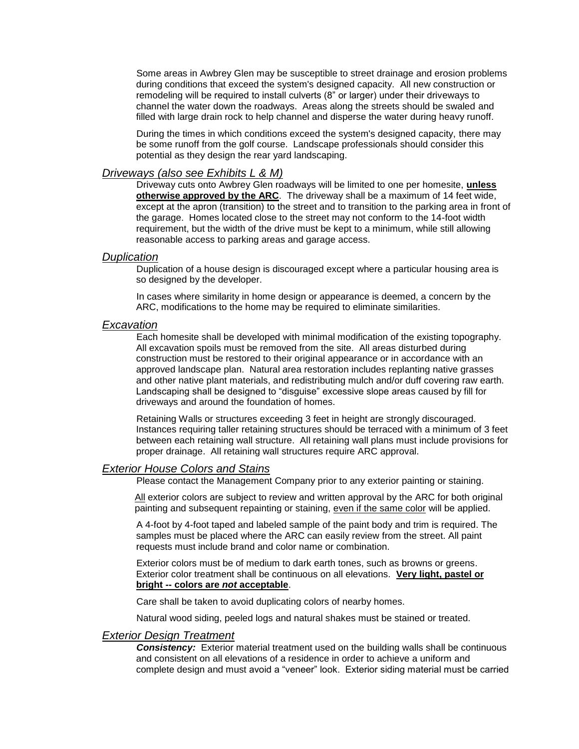Some areas in Awbrey Glen may be susceptible to street drainage and erosion problems during conditions that exceed the system's designed capacity. All new construction or remodeling will be required to install culverts (8" or larger) under their driveways to channel the water down the roadways. Areas along the streets should be swaled and filled with large drain rock to help channel and disperse the water during heavy runoff.

During the times in which conditions exceed the system's designed capacity, there may be some runoff from the golf course. Landscape professionals should consider this potential as they design the rear yard landscaping.

#### *Driveways (also see Exhibits L & M)*

Driveway cuts onto Awbrey Glen roadways will be limited to one per homesite, **unless otherwise approved by the ARC**. The driveway shall be a maximum of 14 feet wide, except at the apron (transition) to the street and to transition to the parking area in front of the garage. Homes located close to the street may not conform to the 14-foot width requirement, but the width of the drive must be kept to a minimum, while still allowing reasonable access to parking areas and garage access.

#### *Duplication*

Duplication of a house design is discouraged except where a particular housing area is so designed by the developer.

In cases where similarity in home design or appearance is deemed, a concern by the ARC, modifications to the home may be required to eliminate similarities.

#### *Excavation*

Each homesite shall be developed with minimal modification of the existing topography. All excavation spoils must be removed from the site. All areas disturbed during construction must be restored to their original appearance or in accordance with an approved landscape plan. Natural area restoration includes replanting native grasses and other native plant materials, and redistributing mulch and/or duff covering raw earth. Landscaping shall be designed to "disguise" excessive slope areas caused by fill for driveways and around the foundation of homes.

Retaining Walls or structures exceeding 3 feet in height are strongly discouraged. Instances requiring taller retaining structures should be terraced with a minimum of 3 feet between each retaining wall structure. All retaining wall plans must include provisions for proper drainage. All retaining wall structures require ARC approval.

#### *Exterior House Colors and Stains*

Please contact the Management Company prior to any exterior painting or staining.

All exterior colors are subject to review and written approval by the ARC for both original painting and subsequent repainting or staining, even if the same color will be applied.

A 4-foot by 4-foot taped and labeled sample of the paint body and trim is required. The samples must be placed where the ARC can easily review from the street. All paint requests must include brand and color name or combination.

Exterior colors must be of medium to dark earth tones, such as browns or greens. Exterior color treatment shall be continuous on all elevations. **Very light, pastel or bright -- colors are** *not* **acceptable**.

Care shall be taken to avoid duplicating colors of nearby homes.

Natural wood siding, peeled logs and natural shakes must be stained or treated.

#### *Exterior Design Treatment*

**Consistency:** Exterior material treatment used on the building walls shall be continuous and consistent on all elevations of a residence in order to achieve a uniform and complete design and must avoid a "veneer" look. Exterior siding material must be carried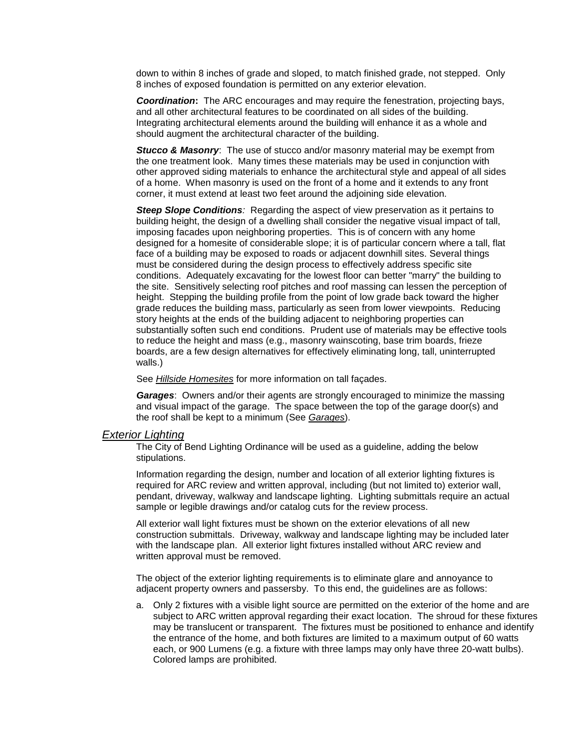down to within 8 inches of grade and sloped, to match finished grade, not stepped. Only 8 inches of exposed foundation is permitted on any exterior elevation.

*Coordination***:** The ARC encourages and may require the fenestration, projecting bays, and all other architectural features to be coordinated on all sides of the building. Integrating architectural elements around the building will enhance it as a whole and should augment the architectural character of the building.

*Stucco & Masonry*: The use of stucco and/or masonry material may be exempt from the one treatment look. Many times these materials may be used in conjunction with other approved siding materials to enhance the architectural style and appeal of all sides of a home. When masonry is used on the front of a home and it extends to any front corner, it must extend at least two feet around the adjoining side elevation.

*Steep Slope Conditions:* Regarding the aspect of view preservation as it pertains to building height, the design of a dwelling shall consider the negative visual impact of tall, imposing facades upon neighboring properties. This is of concern with any home designed for a homesite of considerable slope; it is of particular concern where a tall, flat face of a building may be exposed to roads or adjacent downhill sites. Several things must be considered during the design process to effectively address specific site conditions. Adequately excavating for the lowest floor can better "marry" the building to the site. Sensitively selecting roof pitches and roof massing can lessen the perception of height. Stepping the building profile from the point of low grade back toward the higher grade reduces the building mass, particularly as seen from lower viewpoints. Reducing story heights at the ends of the building adjacent to neighboring properties can substantially soften such end conditions. Prudent use of materials may be effective tools to reduce the height and mass (e.g., masonry wainscoting, base trim boards, frieze boards, are a few design alternatives for effectively eliminating long, tall, uninterrupted walls.)

See *Hillside Homesites* for more information on tall façades.

*Garages*: Owners and/or their agents are strongly encouraged to minimize the massing and visual impact of the garage. The space between the top of the garage door(s) and the roof shall be kept to a minimum (See *Garages*).

#### *Exterior Lighting*

The City of Bend Lighting Ordinance will be used as a guideline, adding the below stipulations.

Information regarding the design, number and location of all exterior lighting fixtures is required for ARC review and written approval, including (but not limited to) exterior wall, pendant, driveway, walkway and landscape lighting. Lighting submittals require an actual sample or legible drawings and/or catalog cuts for the review process.

All exterior wall light fixtures must be shown on the exterior elevations of all new construction submittals. Driveway, walkway and landscape lighting may be included later with the landscape plan. All exterior light fixtures installed without ARC review and written approval must be removed.

The object of the exterior lighting requirements is to eliminate glare and annoyance to adjacent property owners and passersby. To this end, the guidelines are as follows:

a. Only 2 fixtures with a visible light source are permitted on the exterior of the home and are subject to ARC written approval regarding their exact location. The shroud for these fixtures may be translucent or transparent. The fixtures must be positioned to enhance and identify the entrance of the home, and both fixtures are limited to a maximum output of 60 watts each, or 900 Lumens (e.g. a fixture with three lamps may only have three 20-watt bulbs). Colored lamps are prohibited.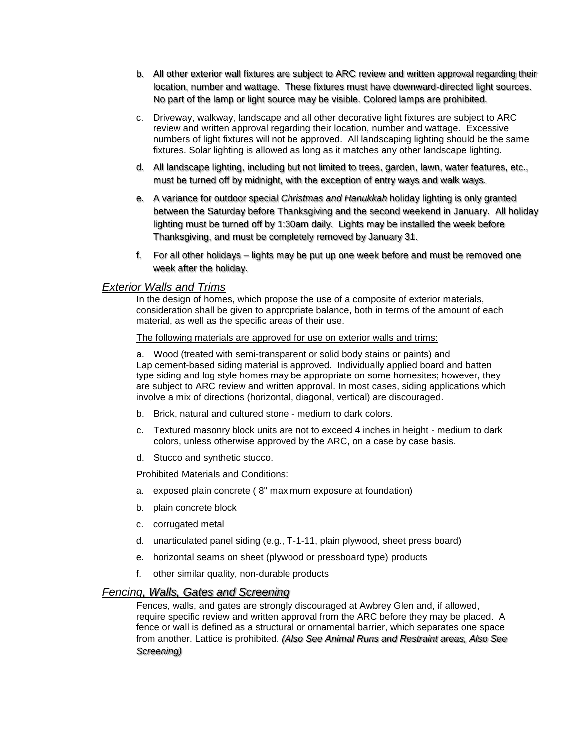- b. All other exterior wall fixtures are subject to ARC review and written approval regarding their location, number and wattage. These fixtures must have downward-directed light sources. No part of the lamp or light source may be visible. Colored lamps are prohibited.
- c. Driveway, walkway, landscape and all other decorative light fixtures are subject to ARC review and written approval regarding their location, number and wattage. Excessive numbers of light fixtures will not be approved. All landscaping lighting should be the same fixtures. Solar lighting is allowed as long as it matches any other landscape lighting.
- d. All landscape lighting, including but not limited to trees, garden, lawn, water features, etc., must be turned off by midnight, with the exception of entry ways and walk ways.
- e. A variance for outdoor special *Christmas and Hanukkah* holiday lighting is only granted between the Saturday before Thanksgiving and the second weekend in January. All holiday lighting must be turned off by 1:30am daily. Lights may be installed the week before Thanksgiving, and must be completely removed by January 31.
- f. For all other holidays lights may be put up one week before and must be removed one week after the holiday.

## *Exterior Walls and Trims*

In the design of homes, which propose the use of a composite of exterior materials, consideration shall be given to appropriate balance, both in terms of the amount of each material, as well as the specific areas of their use.

#### The following materials are approved for use on exterior walls and trims:

a. Wood (treated with semi-transparent or solid body stains or paints) and Lap cement-based siding material is approved. Individually applied board and batten type siding and log style homes may be appropriate on some homesites; however, they are subject to ARC review and written approval. In most cases, siding applications which involve a mix of directions (horizontal, diagonal, vertical) are discouraged.

- b. Brick, natural and cultured stone medium to dark colors.
- c. Textured masonry block units are not to exceed 4 inches in height medium to dark colors, unless otherwise approved by the ARC, on a case by case basis.
- d. Stucco and synthetic stucco.

#### Prohibited Materials and Conditions:

- a. exposed plain concrete ( 8" maximum exposure at foundation)
- b. plain concrete block
- c. corrugated metal
- d. unarticulated panel siding (e.g., T-1-11, plain plywood, sheet press board)
- e. horizontal seams on sheet (plywood or pressboard type) products
- f. other similar quality, non-durable products

### *Fencing, Walls, Gates and Screening*

Fences, walls, and gates are strongly discouraged at Awbrey Glen and, if allowed, require specific review and written approval from the ARC before they may be placed. A fence or wall is defined as a structural or ornamental barrier, which separates one space from another. Lattice is prohibited. *(Also See Animal Runs and Restraint areas, Also See Screening)*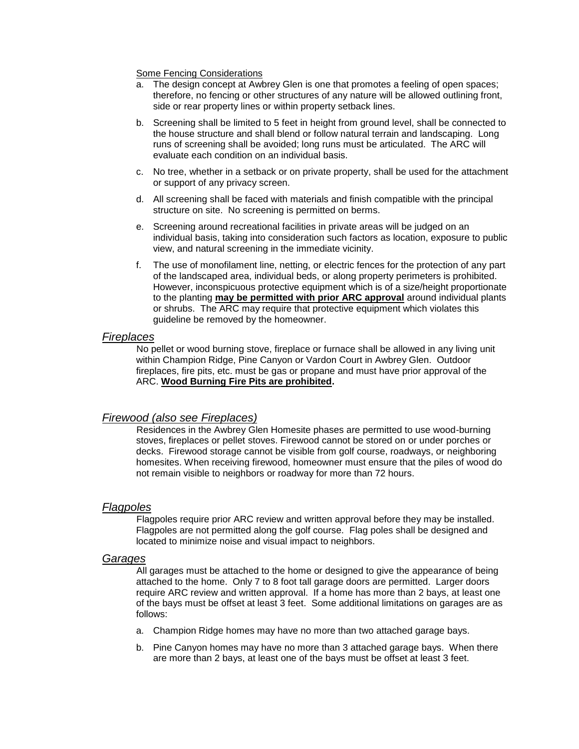Some Fencing Considerations

- a. The design concept at Awbrey Glen is one that promotes a feeling of open spaces; therefore, no fencing or other structures of any nature will be allowed outlining front, side or rear property lines or within property setback lines.
- b. Screening shall be limited to 5 feet in height from ground level, shall be connected to the house structure and shall blend or follow natural terrain and landscaping. Long runs of screening shall be avoided; long runs must be articulated. The ARC will evaluate each condition on an individual basis.
- c. No tree, whether in a setback or on private property, shall be used for the attachment or support of any privacy screen.
- d. All screening shall be faced with materials and finish compatible with the principal structure on site. No screening is permitted on berms.
- e. Screening around recreational facilities in private areas will be judged on an individual basis, taking into consideration such factors as location, exposure to public view, and natural screening in the immediate vicinity.
- f. The use of monofilament line, netting, or electric fences for the protection of any part of the landscaped area, individual beds, or along property perimeters is prohibited. However, inconspicuous protective equipment which is of a size/height proportionate to the planting **may be permitted with prior ARC approval** around individual plants or shrubs. The ARC may require that protective equipment which violates this guideline be removed by the homeowner.

#### *Fireplaces*

No pellet or wood burning stove, fireplace or furnace shall be allowed in any living unit within Champion Ridge, Pine Canyon or Vardon Court in Awbrey Glen. Outdoor fireplaces, fire pits, etc. must be gas or propane and must have prior approval of the ARC. **Wood Burning Fire Pits are prohibited.**

## *Firewood (also see Fireplaces)*

Residences in the Awbrey Glen Homesite phases are permitted to use wood-burning stoves, fireplaces or pellet stoves. Firewood cannot be stored on or under porches or decks. Firewood storage cannot be visible from golf course, roadways, or neighboring homesites. When receiving firewood, homeowner must ensure that the piles of wood do not remain visible to neighbors or roadway for more than 72 hours.

#### *Flagpoles*

Flagpoles require prior ARC review and written approval before they may be installed. Flagpoles are not permitted along the golf course. Flag poles shall be designed and located to minimize noise and visual impact to neighbors.

#### *Garages*

All garages must be attached to the home or designed to give the appearance of being attached to the home. Only 7 to 8 foot tall garage doors are permitted. Larger doors require ARC review and written approval. If a home has more than 2 bays, at least one of the bays must be offset at least 3 feet. Some additional limitations on garages are as follows:

- a. Champion Ridge homes may have no more than two attached garage bays.
- b. Pine Canyon homes may have no more than 3 attached garage bays. When there are more than 2 bays, at least one of the bays must be offset at least 3 feet.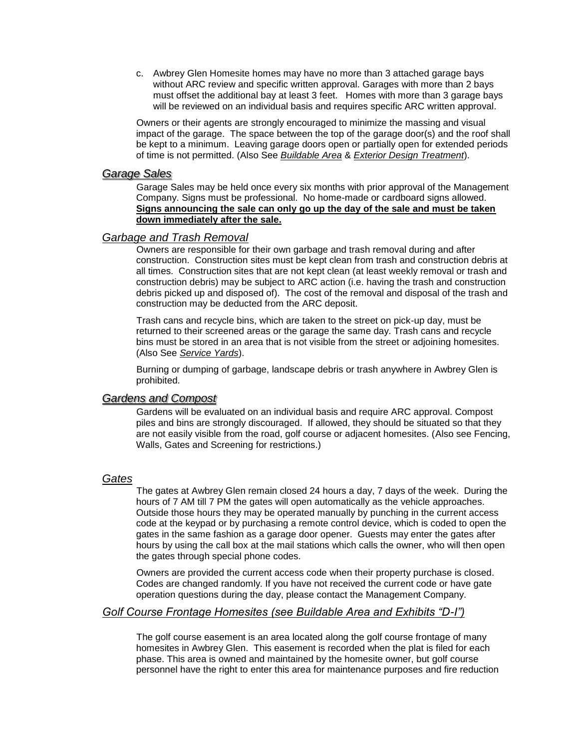c. Awbrey Glen Homesite homes may have no more than 3 attached garage bays without ARC review and specific written approval. Garages with more than 2 bays must offset the additional bay at least 3 feet. Homes with more than 3 garage bays will be reviewed on an individual basis and requires specific ARC written approval.

Owners or their agents are strongly encouraged to minimize the massing and visual impact of the garage. The space between the top of the garage door(s) and the roof shall be kept to a minimum. Leaving garage doors open or partially open for extended periods of time is not permitted. (Also See *Buildable Area* & *Exterior Design Treatment*).

#### *Garage Sales*

Garage Sales may be held once every six months with prior approval of the Management Company. Signs must be professional. No home-made or cardboard signs allowed. **Signs announcing the sale can only go up the day of the sale and must be taken down immediately after the sale.** 

## *Garbage and Trash Removal*

Owners are responsible for their own garbage and trash removal during and after construction. Construction sites must be kept clean from trash and construction debris at all times. Construction sites that are not kept clean (at least weekly removal or trash and construction debris) may be subject to ARC action (i.e. having the trash and construction debris picked up and disposed of). The cost of the removal and disposal of the trash and construction may be deducted from the ARC deposit.

Trash cans and recycle bins, which are taken to the street on pick-up day, must be returned to their screened areas or the garage the same day. Trash cans and recycle bins must be stored in an area that is not visible from the street or adjoining homesites. (Also See *Service Yards*).

Burning or dumping of garbage, landscape debris or trash anywhere in Awbrey Glen is prohibited.

#### *Gardens and Compost*

Gardens will be evaluated on an individual basis and require ARC approval. Compost piles and bins are strongly discouraged. If allowed, they should be situated so that they are not easily visible from the road, golf course or adjacent homesites. (Also see Fencing, Walls, Gates and Screening for restrictions.)

#### *Gates*

The gates at Awbrey Glen remain closed 24 hours a day, 7 days of the week. During the hours of 7 AM till 7 PM the gates will open automatically as the vehicle approaches. Outside those hours they may be operated manually by punching in the current access code at the keypad or by purchasing a remote control device, which is coded to open the gates in the same fashion as a garage door opener. Guests may enter the gates after hours by using the call box at the mail stations which calls the owner, who will then open the gates through special phone codes.

Owners are provided the current access code when their property purchase is closed. Codes are changed randomly. If you have not received the current code or have gate operation questions during the day, please contact the Management Company.

## *Golf Course Frontage Homesites (see Buildable Area and Exhibits "D-I")*

The golf course easement is an area located along the golf course frontage of many homesites in Awbrey Glen. This easement is recorded when the plat is filed for each phase. This area is owned and maintained by the homesite owner, but golf course personnel have the right to enter this area for maintenance purposes and fire reduction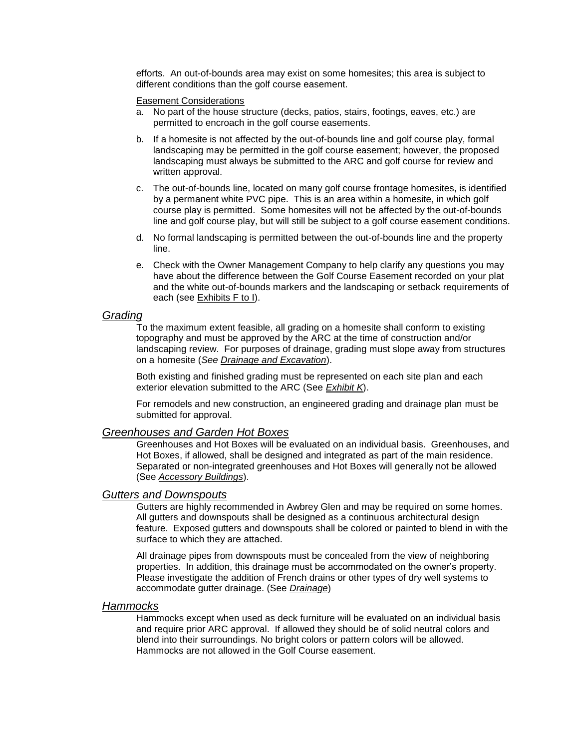efforts. An out-of-bounds area may exist on some homesites; this area is subject to different conditions than the golf course easement.

Easement Considerations

- a. No part of the house structure (decks, patios, stairs, footings, eaves, etc.) are permitted to encroach in the golf course easements.
- b. If a homesite is not affected by the out-of-bounds line and golf course play, formal landscaping may be permitted in the golf course easement; however, the proposed landscaping must always be submitted to the ARC and golf course for review and written approval.
- c. The out-of-bounds line, located on many golf course frontage homesites, is identified by a permanent white PVC pipe. This is an area within a homesite, in which golf course play is permitted. Some homesites will not be affected by the out-of-bounds line and golf course play, but will still be subject to a golf course easement conditions.
- d. No formal landscaping is permitted between the out-of-bounds line and the property line.
- e. Check with the Owner Management Company to help clarify any questions you may have about the difference between the Golf Course Easement recorded on your plat and the white out-of-bounds markers and the landscaping or setback requirements of each (see Exhibits F to I).

## *Grading*

To the maximum extent feasible, all grading on a homesite shall conform to existing topography and must be approved by the ARC at the time of construction and/or landscaping review. For purposes of drainage, grading must slope away from structures on a homesite (*See Drainage and Excavation*).

Both existing and finished grading must be represented on each site plan and each exterior elevation submitted to the ARC (See *Exhibit K*).

For remodels and new construction, an engineered grading and drainage plan must be submitted for approval.

## *Greenhouses and Garden Hot Boxes*

Greenhouses and Hot Boxes will be evaluated on an individual basis. Greenhouses, and Hot Boxes, if allowed, shall be designed and integrated as part of the main residence. Separated or non-integrated greenhouses and Hot Boxes will generally not be allowed (See *Accessory Buildings*).

## *Gutters and Downspouts*

Gutters are highly recommended in Awbrey Glen and may be required on some homes. All gutters and downspouts shall be designed as a continuous architectural design feature. Exposed gutters and downspouts shall be colored or painted to blend in with the surface to which they are attached.

All drainage pipes from downspouts must be concealed from the view of neighboring properties. In addition, this drainage must be accommodated on the owner's property. Please investigate the addition of French drains or other types of dry well systems to accommodate gutter drainage. (See *Drainage*)

### *Hammocks*

Hammocks except when used as deck furniture will be evaluated on an individual basis and require prior ARC approval. If allowed they should be of solid neutral colors and blend into their surroundings. No bright colors or pattern colors will be allowed. Hammocks are not allowed in the Golf Course easement.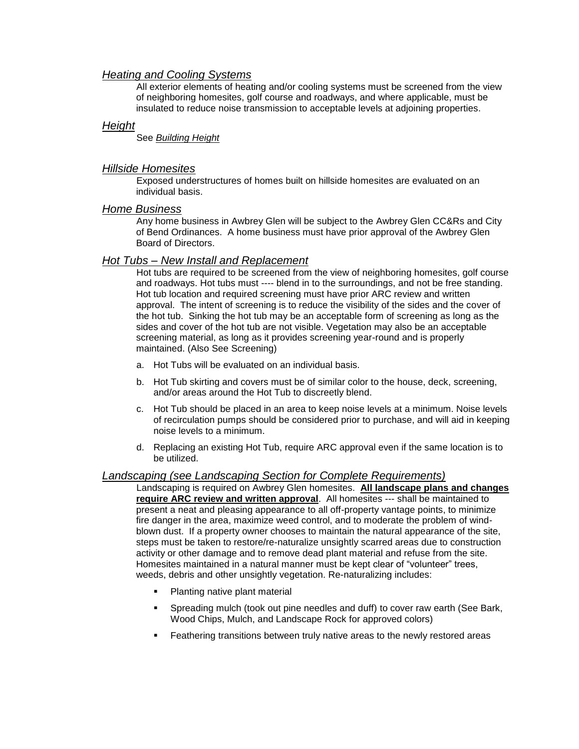## *Heating and Cooling Systems*

All exterior elements of heating and/or cooling systems must be screened from the view of neighboring homesites, golf course and roadways, and where applicable, must be insulated to reduce noise transmission to acceptable levels at adjoining properties.

## *Height*

See *Building Height*

## *Hillside Homesites*

Exposed understructures of homes built on hillside homesites are evaluated on an individual basis.

#### *Home Business*

Any home business in Awbrey Glen will be subject to the Awbrey Glen CC&Rs and City of Bend Ordinances. A home business must have prior approval of the Awbrey Glen Board of Directors.

## *Hot Tubs – New Install and Replacement*

Hot tubs are required to be screened from the view of neighboring homesites, golf course and roadways. Hot tubs must ---- blend in to the surroundings, and not be free standing. Hot tub location and required screening must have prior ARC review and written approval. The intent of screening is to reduce the visibility of the sides and the cover of the hot tub. Sinking the hot tub may be an acceptable form of screening as long as the sides and cover of the hot tub are not visible. Vegetation may also be an acceptable screening material, as long as it provides screening year-round and is properly maintained. (Also See Screening)

- a. Hot Tubs will be evaluated on an individual basis.
- b. Hot Tub skirting and covers must be of similar color to the house, deck, screening, and/or areas around the Hot Tub to discreetly blend.
- c. Hot Tub should be placed in an area to keep noise levels at a minimum. Noise levels of recirculation pumps should be considered prior to purchase, and will aid in keeping noise levels to a minimum.
- d. Replacing an existing Hot Tub, require ARC approval even if the same location is to be utilized.

## *Landscaping (see Landscaping Section for Complete Requirements)*

Landscaping is required on Awbrey Glen homesites. **All landscape plans and changes require ARC review and written approval**. All homesites --- shall be maintained to present a neat and pleasing appearance to all off-property vantage points, to minimize fire danger in the area, maximize weed control, and to moderate the problem of windblown dust. If a property owner chooses to maintain the natural appearance of the site, steps must be taken to restore/re-naturalize unsightly scarred areas due to construction activity or other damage and to remove dead plant material and refuse from the site. Homesites maintained in a natural manner must be kept clear of "volunteer" trees, weeds, debris and other unsightly vegetation. Re-naturalizing includes:

- Planting native plant material
- Spreading mulch (took out pine needles and duff) to cover raw earth (See Bark, Wood Chips, Mulch, and Landscape Rock for approved colors)
- Feathering transitions between truly native areas to the newly restored areas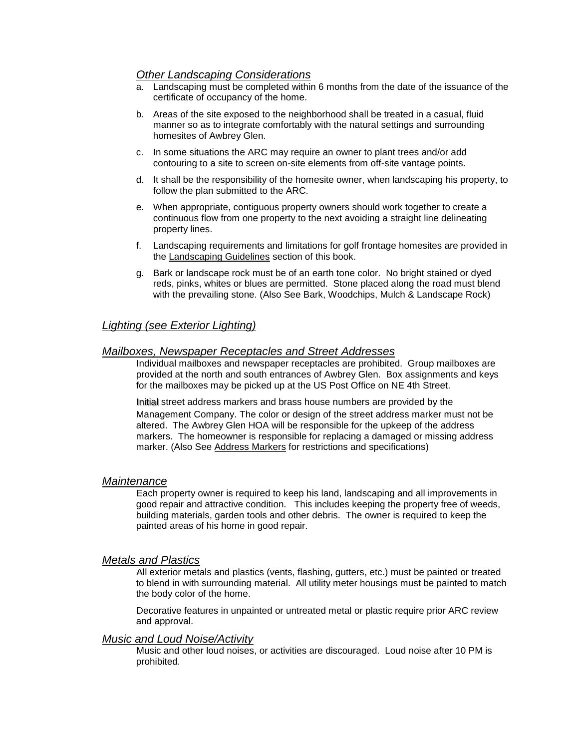# *Other Landscaping Considerations*

- a. Landscaping must be completed within 6 months from the date of the issuance of the certificate of occupancy of the home.
- b. Areas of the site exposed to the neighborhood shall be treated in a casual, fluid manner so as to integrate comfortably with the natural settings and surrounding homesites of Awbrey Glen.
- c. In some situations the ARC may require an owner to plant trees and/or add contouring to a site to screen on-site elements from off-site vantage points.
- d. It shall be the responsibility of the homesite owner, when landscaping his property, to follow the plan submitted to the ARC.
- e. When appropriate, contiguous property owners should work together to create a continuous flow from one property to the next avoiding a straight line delineating property lines.
- f. Landscaping requirements and limitations for golf frontage homesites are provided in the Landscaping Guidelines section of this book.
- g. Bark or landscape rock must be of an earth tone color. No bright stained or dyed reds, pinks, whites or blues are permitted. Stone placed along the road must blend with the prevailing stone. (Also See Bark, Woodchips, Mulch & Landscape Rock)

# *Lighting (see Exterior Lighting)*

## *Mailboxes, Newspaper Receptacles and Street Addresses*

Individual mailboxes and newspaper receptacles are prohibited. Group mailboxes are provided at the north and south entrances of Awbrey Glen. Box assignments and keys for the mailboxes may be picked up at the US Post Office on NE 4th Street.

Initial street address markers and brass house numbers are provided by the Management Company. The color or design of the street address marker must not be altered. The Awbrey Glen HOA will be responsible for the upkeep of the address markers. The homeowner is responsible for replacing a damaged or missing address marker. (Also See Address Markers for restrictions and specifications)

#### *Maintenance*

Each property owner is required to keep his land, landscaping and all improvements in good repair and attractive condition. This includes keeping the property free of weeds, building materials, garden tools and other debris. The owner is required to keep the painted areas of his home in good repair.

#### *Metals and Plastics*

All exterior metals and plastics (vents, flashing, gutters, etc.) must be painted or treated to blend in with surrounding material. All utility meter housings must be painted to match the body color of the home.

Decorative features in unpainted or untreated metal or plastic require prior ARC review and approval.

#### *Music and Loud Noise/Activity*

Music and other loud noises, or activities are discouraged. Loud noise after 10 PM is prohibited.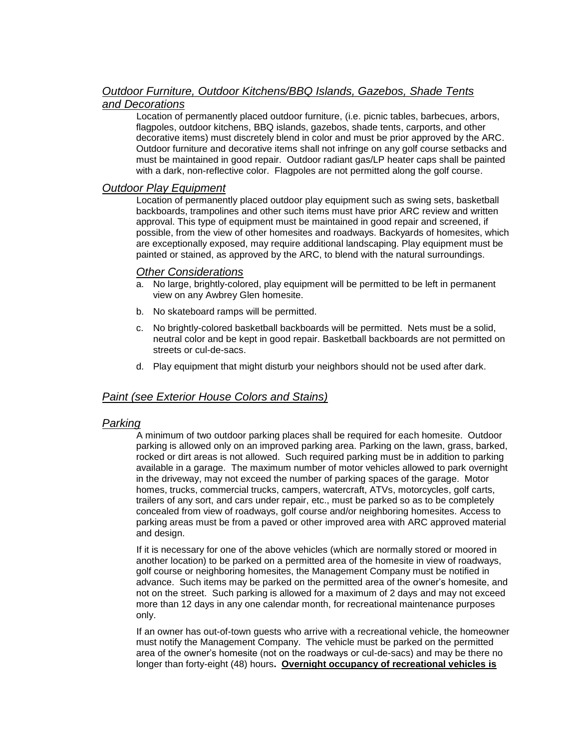## *Outdoor Furniture, Outdoor Kitchens/BBQ Islands, Gazebos, Shade Tents and Decorations*

Location of permanently placed outdoor furniture, (i.e. picnic tables, barbecues, arbors, flagpoles, outdoor kitchens, BBQ islands, gazebos, shade tents, carports, and other decorative items) must discretely blend in color and must be prior approved by the ARC. Outdoor furniture and decorative items shall not infringe on any golf course setbacks and must be maintained in good repair. Outdoor radiant gas/LP heater caps shall be painted with a dark, non-reflective color. Flagpoles are not permitted along the golf course.

## *Outdoor Play Equipment*

Location of permanently placed outdoor play equipment such as swing sets, basketball backboards, trampolines and other such items must have prior ARC review and written approval. This type of equipment must be maintained in good repair and screened, if possible, from the view of other homesites and roadways. Backyards of homesites, which are exceptionally exposed, may require additional landscaping. Play equipment must be painted or stained, as approved by the ARC, to blend with the natural surroundings.

## *Other Considerations*

- a. No large, brightly-colored, play equipment will be permitted to be left in permanent view on any Awbrey Glen homesite.
- b. No skateboard ramps will be permitted.
- c. No brightly-colored basketball backboards will be permitted. Nets must be a solid, neutral color and be kept in good repair. Basketball backboards are not permitted on streets or cul-de-sacs.
- d. Play equipment that might disturb your neighbors should not be used after dark.

# *Paint (see Exterior House Colors and Stains)*

## *Parking*

A minimum of two outdoor parking places shall be required for each homesite. Outdoor parking is allowed only on an improved parking area. Parking on the lawn, grass, barked, rocked or dirt areas is not allowed. Such required parking must be in addition to parking available in a garage. The maximum number of motor vehicles allowed to park overnight in the driveway, may not exceed the number of parking spaces of the garage. Motor homes, trucks, commercial trucks, campers, watercraft, ATVs, motorcycles, golf carts, trailers of any sort, and cars under repair, etc., must be parked so as to be completely concealed from view of roadways, golf course and/or neighboring homesites. Access to parking areas must be from a paved or other improved area with ARC approved material and design.

If it is necessary for one of the above vehicles (which are normally stored or moored in another location) to be parked on a permitted area of the homesite in view of roadways, golf course or neighboring homesites, the Management Company must be notified in advance. Such items may be parked on the permitted area of the owner's homesite, and not on the street. Such parking is allowed for a maximum of 2 days and may not exceed more than 12 days in any one calendar month, for recreational maintenance purposes only.

If an owner has out-of-town guests who arrive with a recreational vehicle, the homeowner must notify the Management Company. The vehicle must be parked on the permitted area of the owner's homesite (not on the roadways or cul-de-sacs) and may be there no longer than forty-eight (48) hours**. Overnight occupancy of recreational vehicles is**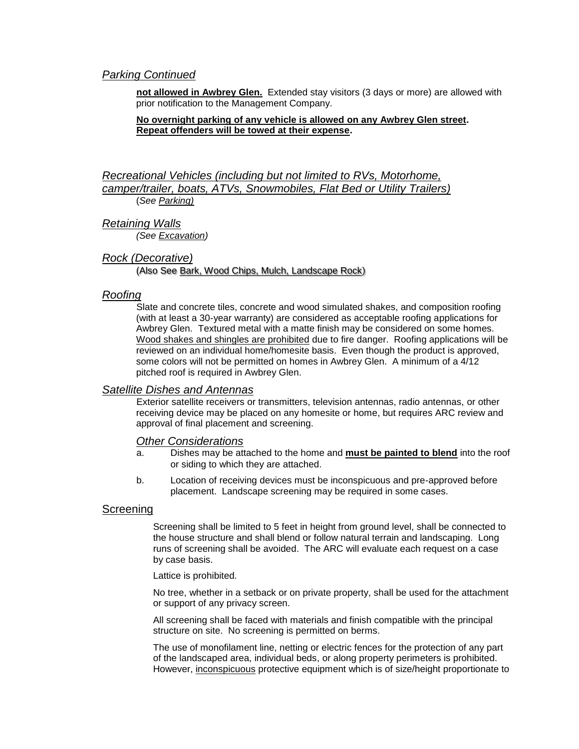## *Parking Continued*

**not allowed in Awbrey Glen.** Extended stay visitors (3 days or more) are allowed with prior notification to the Management Company.

#### **No overnight parking of any vehicle is allowed on any Awbrey Glen street. Repeat offenders will be towed at their expense.**

*Recreational Vehicles (including but not limited to RVs, Motorhome, camper/trailer, boats, ATVs, Snowmobiles, Flat Bed or Utility Trailers)* (*See Parking)*

*Retaining Walls (See Excavation)*

#### *Rock (Decorative)*

(Also See Bark, Wood Chips, Mulch, Landscape Rock)

#### *Roofing*

Slate and concrete tiles, concrete and wood simulated shakes, and composition roofing (with at least a 30-year warranty) are considered as acceptable roofing applications for Awbrey Glen. Textured metal with a matte finish may be considered on some homes. Wood shakes and shingles are prohibited due to fire danger. Roofing applications will be reviewed on an individual home/homesite basis. Even though the product is approved, some colors will not be permitted on homes in Awbrey Glen. A minimum of a 4/12 pitched roof is required in Awbrey Glen.

#### *Satellite Dishes and Antennas*

Exterior satellite receivers or transmitters, television antennas, radio antennas, or other receiving device may be placed on any homesite or home, but requires ARC review and approval of final placement and screening.

#### *Other Considerations*

- a. Dishes may be attached to the home and **must be painted to blend** into the roof or siding to which they are attached.
- b. Location of receiving devices must be inconspicuous and pre-approved before placement. Landscape screening may be required in some cases.

#### **Screening**

Screening shall be limited to 5 feet in height from ground level, shall be connected to the house structure and shall blend or follow natural terrain and landscaping. Long runs of screening shall be avoided. The ARC will evaluate each request on a case by case basis.

Lattice is prohibited.

No tree, whether in a setback or on private property, shall be used for the attachment or support of any privacy screen.

All screening shall be faced with materials and finish compatible with the principal structure on site. No screening is permitted on berms.

The use of monofilament line, netting or electric fences for the protection of any part of the landscaped area, individual beds, or along property perimeters is prohibited. However, inconspicuous protective equipment which is of size/height proportionate to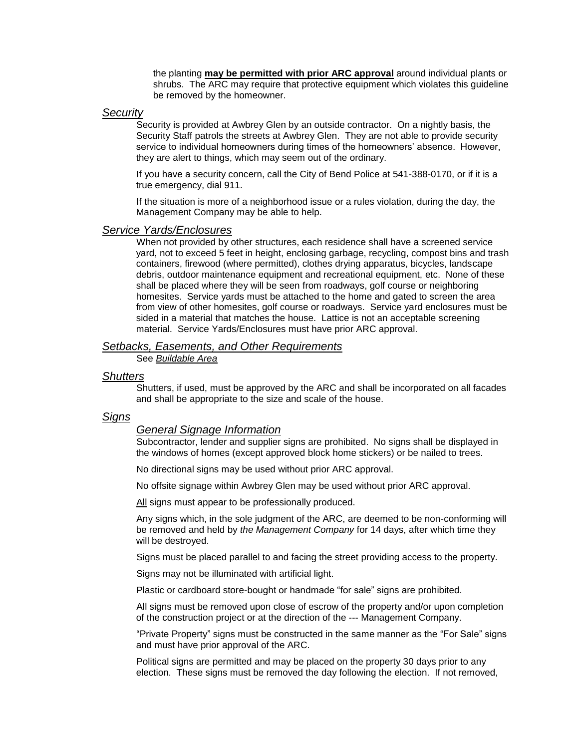the planting **may be permitted with prior ARC approval** around individual plants or shrubs. The ARC may require that protective equipment which violates this guideline be removed by the homeowner.

#### *Security*

Security is provided at Awbrey Glen by an outside contractor. On a nightly basis, the Security Staff patrols the streets at Awbrey Glen. They are not able to provide security service to individual homeowners during times of the homeowners' absence. However, they are alert to things, which may seem out of the ordinary.

If you have a security concern, call the City of Bend Police at 541-388-0170, or if it is a true emergency, dial 911.

If the situation is more of a neighborhood issue or a rules violation, during the day, the Management Company may be able to help.

#### *Service Yards/Enclosures*

When not provided by other structures, each residence shall have a screened service yard, not to exceed 5 feet in height, enclosing garbage, recycling, compost bins and trash containers, firewood (where permitted), clothes drying apparatus, bicycles, landscape debris, outdoor maintenance equipment and recreational equipment, etc. None of these shall be placed where they will be seen from roadways, golf course or neighboring homesites. Service yards must be attached to the home and gated to screen the area from view of other homesites, golf course or roadways. Service yard enclosures must be sided in a material that matches the house. Lattice is not an acceptable screening material. Service Yards/Enclosures must have prior ARC approval.

# *Setbacks, Easements, and Other Requirements*

See *Buildable Area*

#### *Shutters*

Shutters, if used, must be approved by the ARC and shall be incorporated on all facades and shall be appropriate to the size and scale of the house.

### *Signs*

#### *General Signage Information*

Subcontractor, lender and supplier signs are prohibited. No signs shall be displayed in the windows of homes (except approved block home stickers) or be nailed to trees.

No directional signs may be used without prior ARC approval.

No offsite signage within Awbrey Glen may be used without prior ARC approval.

All signs must appear to be professionally produced.

Any signs which, in the sole judgment of the ARC, are deemed to be non-conforming will be removed and held by *the Management Company* for 14 days, after which time they will be destroyed.

Signs must be placed parallel to and facing the street providing access to the property.

Signs may not be illuminated with artificial light.

Plastic or cardboard store-bought or handmade "for sale" signs are prohibited.

All signs must be removed upon close of escrow of the property and/or upon completion of the construction project or at the direction of the --- Management Company.

"Private Property" signs must be constructed in the same manner as the "For Sale" signs and must have prior approval of the ARC.

Political signs are permitted and may be placed on the property 30 days prior to any election. These signs must be removed the day following the election. If not removed,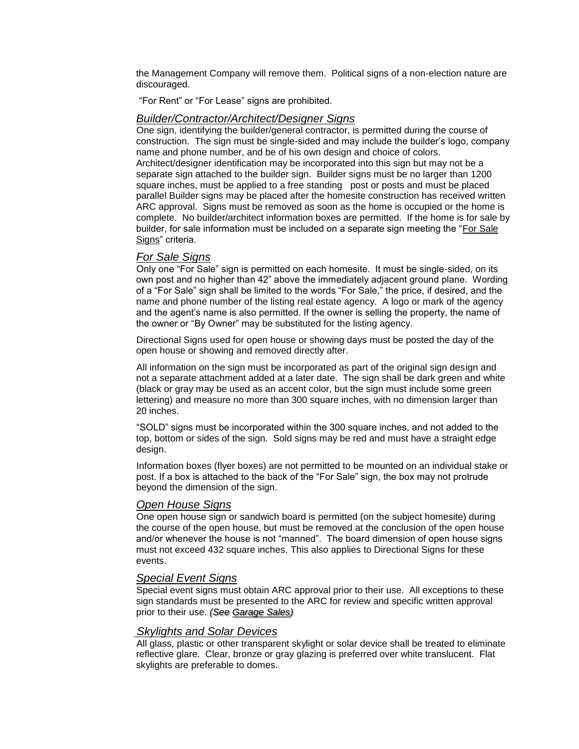the Management Company will remove them. Political signs of a non-election nature are discouraged.

"For Rent" or "For Lease" signs are prohibited.

## *Builder/Contractor/Architect/Designer Signs*

One sign, identifying the builder/general contractor, is permitted during the course of construction. The sign must be single-sided and may include the builder's logo, company name and phone number, and be of his own design and choice of colors. Architect/designer identification may be incorporated into this sign but may not be a separate sign attached to the builder sign. Builder signs must be no larger than 1200 square inches, must be applied to a free standing post or posts and must be placed parallel Builder signs may be placed after the homesite construction has received written ARC approval. Signs must be removed as soon as the home is occupied or the home is complete. No builder/architect information boxes are permitted. If the home is for sale by builder, for sale information must be included on a separate sign meeting the "For Sale Signs" criteria.

# *For Sale Signs*

Only one "For Sale" sign is permitted on each homesite. It must be single-sided, on its own post and no higher than 42" above the immediately adjacent ground plane. Wording of a "For Sale" sign shall be limited to the words "For Sale," the price, if desired, and the name and phone number of the listing real estate agency. A logo or mark of the agency and the agent's name is also permitted. If the owner is selling the property, the name of the owner or "By Owner" may be substituted for the listing agency.

Directional Signs used for open house or showing days must be posted the day of the open house or showing and removed directly after.

All information on the sign must be incorporated as part of the original sign design and not a separate attachment added at a later date. The sign shall be dark green and white (black or gray may be used as an accent color, but the sign must include some green lettering) and measure no more than 300 square inches, with no dimension larger than 20 inches.

"SOLD" signs must be incorporated within the 300 square inches, and not added to the top, bottom or sides of the sign. Sold signs may be red and must have a straight edge design.

Information boxes (flyer boxes) are not permitted to be mounted on an individual stake or post. If a box is attached to the back of the "For Sale" sign, the box may not protrude beyond the dimension of the sign.

## *Open House Signs*

One open house sign or sandwich board is permitted (on the subject homesite) during the course of the open house, but must be removed at the conclusion of the open house and/or whenever the house is not "manned". The board dimension of open house signs must not exceed 432 square inches. This also applies to Directional Signs for these events.

#### *Special Event Signs*

Special event signs must obtain ARC approval prior to their use. All exceptions to these sign standards must be presented to the ARC for review and specific written approval prior to their use. *(See Garage Sales)*

## *Skylights and Solar Devices*

All glass, plastic or other transparent skylight or solar device shall be treated to eliminate reflective glare. Clear, bronze or gray glazing is preferred over white translucent. Flat skylights are preferable to domes.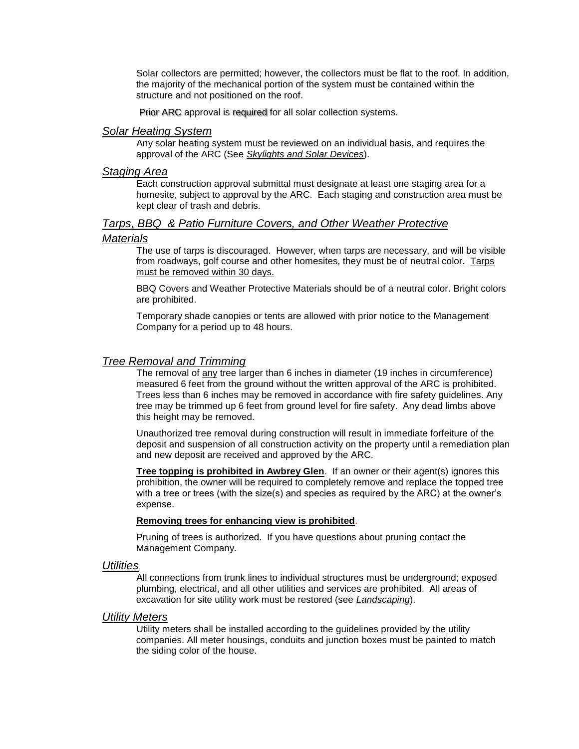Solar collectors are permitted; however, the collectors must be flat to the roof. In addition, the majority of the mechanical portion of the system must be contained within the structure and not positioned on the roof.

Prior ARC approval is required for all solar collection systems.

#### *Solar Heating System*

Any solar heating system must be reviewed on an individual basis, and requires the approval of the ARC (See *Skylights and Solar Devices*).

## *Staging Area*

Each construction approval submittal must designate at least one staging area for a homesite, subject to approval by the ARC. Each staging and construction area must be kept clear of trash and debris.

## *Tarps, BBQ & Patio Furniture Covers, and Other Weather Protective*

#### *Materials*

The use of tarps is discouraged. However, when tarps are necessary, and will be visible from roadways, golf course and other homesites, they must be of neutral color. Tarps must be removed within 30 days.

BBQ Covers and Weather Protective Materials should be of a neutral color. Bright colors are prohibited.

Temporary shade canopies or tents are allowed with prior notice to the Management Company for a period up to 48 hours.

## *Tree Removal and Trimming*

The removal of any tree larger than 6 inches in diameter (19 inches in circumference) measured 6 feet from the ground without the written approval of the ARC is prohibited. Trees less than 6 inches may be removed in accordance with fire safety guidelines. Any tree may be trimmed up 6 feet from ground level for fire safety. Any dead limbs above this height may be removed.

Unauthorized tree removal during construction will result in immediate forfeiture of the deposit and suspension of all construction activity on the property until a remediation plan and new deposit are received and approved by the ARC.

**Tree topping is prohibited in Awbrey Glen**. If an owner or their agent(s) ignores this prohibition, the owner will be required to completely remove and replace the topped tree with a tree or trees (with the size(s) and species as required by the ARC) at the owner's expense.

#### **Removing trees for enhancing view is prohibited**.

Pruning of trees is authorized. If you have questions about pruning contact the Management Company.

#### *Utilities*

All connections from trunk lines to individual structures must be underground; exposed plumbing, electrical, and all other utilities and services are prohibited. All areas of excavation for site utility work must be restored (see *Landscaping*).

#### *Utility Meters*

Utility meters shall be installed according to the guidelines provided by the utility companies. All meter housings, conduits and junction boxes must be painted to match the siding color of the house.